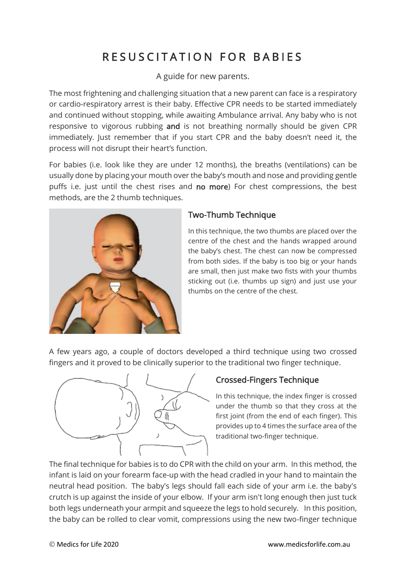## RESUSCITATION FOR BABIES

A guide for new parents.

The most frightening and challenging situation that a new parent can face is a respiratory or cardio-respiratory arrest is their baby. Effective CPR needs to be started immediately and continued without stopping, while awaiting Ambulance arrival. Any baby who is not responsive to vigorous rubbing and is not breathing normally should be given CPR immediately. Just remember that if you start CPR and the baby doesn't need it, the process will not disrupt their heart's function.

For babies (i.e. look like they are under 12 months), the breaths (ventilations) can be usually done by placing your mouth over the baby's mouth and nose and providing gentle puffs i.e. just until the chest rises and no more) For chest compressions, the best methods, are the 2 thumb techniques.



## Two-Thumb Technique

In this technique, the two thumbs are placed over the centre of the chest and the hands wrapped around the baby's chest. The chest can now be compressed from both sides. If the baby is too big or your hands are small, then just make two fists with your thumbs sticking out (i.e. thumbs up sign) and just use your thumbs on the centre of the chest.

A few years ago, a couple of doctors developed a third technique using two crossed fingers and it proved to be clinically superior to the traditional two finger technique.



## Crossed-Fingers Technique

In this technique, the index finger is crossed under the thumb so that they cross at the first joint (from the end of each finger). This provides up to 4 times the surface area of the traditional two-finger technique.

The final technique for babies is to do CPR with the child on your arm. In this method, the infant is laid on your forearm face-up with the head cradled in your hand to maintain the neutral head position. The baby's legs should fall each side of your arm i.e. the baby's crutch is up against the inside of your elbow. If your arm isn't long enough then just tuck both legs underneath your armpit and squeeze the legs to hold securely. In this position, the baby can be rolled to clear vomit, compressions using the new two-finger technique